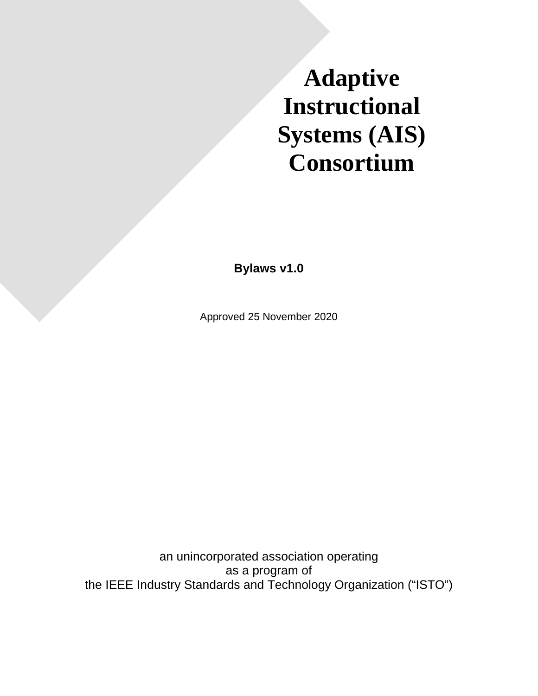# **Adaptive Instructional Systems (AIS) Consortium**

**Bylaws v1.0**

Approved 25 November 2020

an unincorporated association operating as a program of the IEEE Industry Standards and Technology Organization ("ISTO")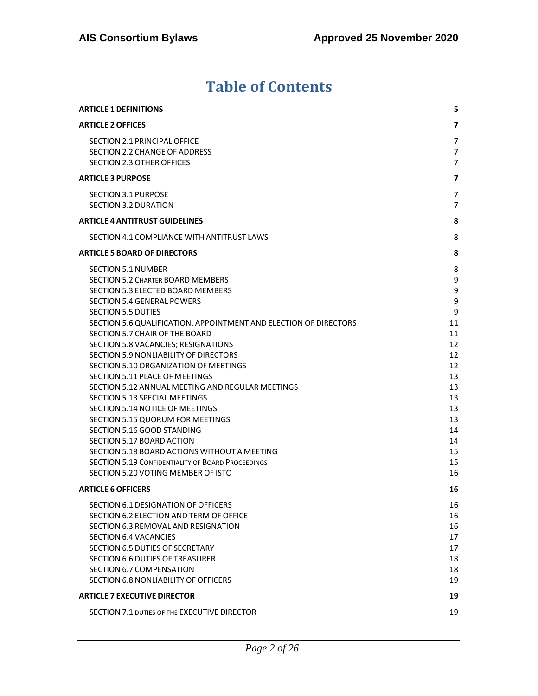# **Table of Contents**

| <b>ARTICLE 1 DEFINITIONS</b>                                                                                                                                                                                                                                                                                                                                                                                                                                                                                                                                                                                                                                                                                                                                                                                                         | 5.                                                                                                              |
|--------------------------------------------------------------------------------------------------------------------------------------------------------------------------------------------------------------------------------------------------------------------------------------------------------------------------------------------------------------------------------------------------------------------------------------------------------------------------------------------------------------------------------------------------------------------------------------------------------------------------------------------------------------------------------------------------------------------------------------------------------------------------------------------------------------------------------------|-----------------------------------------------------------------------------------------------------------------|
| <b>ARTICLE 2 OFFICES</b>                                                                                                                                                                                                                                                                                                                                                                                                                                                                                                                                                                                                                                                                                                                                                                                                             | 7                                                                                                               |
| SECTION 2.1 PRINCIPAL OFFICE<br>SECTION 2.2 CHANGE OF ADDRESS<br><b>SECTION 2.3 OTHER OFFICES</b>                                                                                                                                                                                                                                                                                                                                                                                                                                                                                                                                                                                                                                                                                                                                    | 7<br>$\overline{7}$<br>$\overline{7}$                                                                           |
| <b>ARTICLE 3 PURPOSE</b>                                                                                                                                                                                                                                                                                                                                                                                                                                                                                                                                                                                                                                                                                                                                                                                                             | 7                                                                                                               |
| <b>SECTION 3.1 PURPOSE</b><br>SECTION 3.2 DURATION                                                                                                                                                                                                                                                                                                                                                                                                                                                                                                                                                                                                                                                                                                                                                                                   | 7<br>$\overline{7}$                                                                                             |
| <b>ARTICLE 4 ANTITRUST GUIDELINES</b>                                                                                                                                                                                                                                                                                                                                                                                                                                                                                                                                                                                                                                                                                                                                                                                                | 8                                                                                                               |
| SECTION 4.1 COMPLIANCE WITH ANTITRUST LAWS                                                                                                                                                                                                                                                                                                                                                                                                                                                                                                                                                                                                                                                                                                                                                                                           | 8                                                                                                               |
| <b>ARTICLE 5 BOARD OF DIRECTORS</b>                                                                                                                                                                                                                                                                                                                                                                                                                                                                                                                                                                                                                                                                                                                                                                                                  | 8                                                                                                               |
| <b>SECTION 5.1 NUMBER</b><br><b>SECTION 5.2 CHARTER BOARD MEMBERS</b><br>SECTION 5.3 ELECTED BOARD MEMBERS<br><b>SECTION 5.4 GENERAL POWERS</b><br><b>SECTION 5.5 DUTIES</b><br>SECTION 5.6 QUALIFICATION, APPOINTMENT AND ELECTION OF DIRECTORS<br>SECTION 5.7 CHAIR OF THE BOARD<br>SECTION 5.8 VACANCIES; RESIGNATIONS<br>SECTION 5.9 NONLIABILITY OF DIRECTORS<br>SECTION 5.10 ORGANIZATION OF MEETINGS<br><b>SECTION 5.11 PLACE OF MEETINGS</b><br>SECTION 5.12 ANNUAL MEETING AND REGULAR MEETINGS<br>SECTION 5.13 SPECIAL MEETINGS<br><b>SECTION 5.14 NOTICE OF MEETINGS</b><br>SECTION 5.15 QUORUM FOR MEETINGS<br>SECTION 5.16 GOOD STANDING<br>SECTION 5.17 BOARD ACTION<br>SECTION 5.18 BOARD ACTIONS WITHOUT A MEETING<br><b>SECTION 5.19 CONFIDENTIALITY OF BOARD PROCEEDINGS</b><br>SECTION 5.20 VOTING MEMBER OF ISTO | 8<br>9<br>9<br>9<br>9<br>11<br>11<br>12<br>12<br>12<br>13<br>13<br>13<br>13<br>13<br>14<br>14<br>15<br>15<br>16 |
| <b>ARTICLE 6 OFFICERS</b>                                                                                                                                                                                                                                                                                                                                                                                                                                                                                                                                                                                                                                                                                                                                                                                                            | 16                                                                                                              |
| SECTION 6.1 DESIGNATION OF OFFICERS<br>SECTION 6.2 ELECTION AND TERM OF OFFICE<br>SECTION 6.3 REMOVAL AND RESIGNATION<br><b>SECTION 6.4 VACANCIES</b><br>SECTION 6.5 DUTIES OF SECRETARY<br>SECTION 6.6 DUTIES OF TREASURER<br><b>SECTION 6.7 COMPENSATION</b><br>SECTION 6.8 NONLIABILITY OF OFFICERS                                                                                                                                                                                                                                                                                                                                                                                                                                                                                                                               | 16<br>16<br>16<br>17<br>17<br>18<br>18<br>19                                                                    |
| <b>ARTICLE 7 EXECUTIVE DIRECTOR</b>                                                                                                                                                                                                                                                                                                                                                                                                                                                                                                                                                                                                                                                                                                                                                                                                  | 19                                                                                                              |
| SECTION 7.1 DUTIES OF THE EXECUTIVE DIRECTOR                                                                                                                                                                                                                                                                                                                                                                                                                                                                                                                                                                                                                                                                                                                                                                                         | 19                                                                                                              |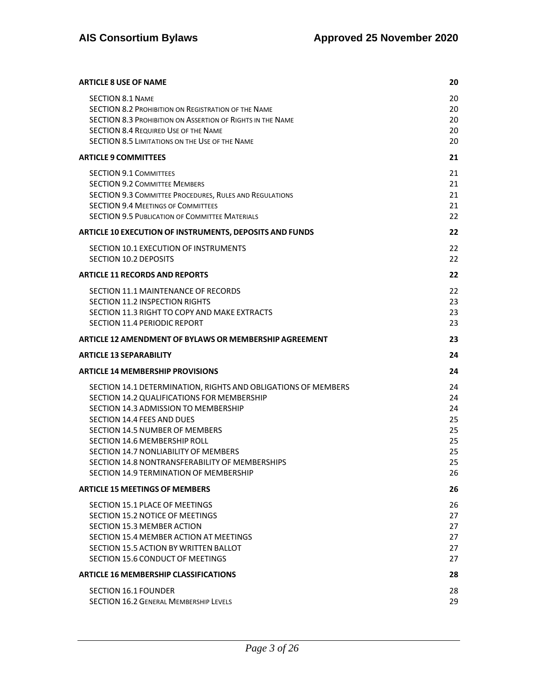| <b>ARTICLE 8 USE OF NAME</b>                                                                                                                                                                                                                                                                                                                                                                          | 20                                                 |
|-------------------------------------------------------------------------------------------------------------------------------------------------------------------------------------------------------------------------------------------------------------------------------------------------------------------------------------------------------------------------------------------------------|----------------------------------------------------|
| <b>SECTION 8.1 NAME</b><br><b>SECTION 8.2 PROHIBITION ON REGISTRATION OF THE NAME</b><br><b>SECTION 8.3 PROHIBITION ON ASSERTION OF RIGHTS IN THE NAME</b><br><b>SECTION 8.4 REQUIRED USE OF THE NAME</b><br><b>SECTION 8.5 LIMITATIONS ON THE USE OF THE NAME</b>                                                                                                                                    | 20<br>20<br>20<br>20<br>20                         |
| <b>ARTICLE 9 COMMITTEES</b>                                                                                                                                                                                                                                                                                                                                                                           | 21                                                 |
| <b>SECTION 9.1 COMMITTEES</b><br><b>SECTION 9.2 COMMITTEE MEMBERS</b><br>SECTION 9.3 COMMITTEE PROCEDURES, RULES AND REGULATIONS<br><b>SECTION 9.4 MEETINGS OF COMMITTEES</b><br><b>SECTION 9.5 PUBLICATION OF COMMITTEE MATERIALS</b>                                                                                                                                                                | 21<br>21<br>21<br>21<br>22                         |
| ARTICLE 10 EXECUTION OF INSTRUMENTS, DEPOSITS AND FUNDS                                                                                                                                                                                                                                                                                                                                               | 22                                                 |
| SECTION 10.1 EXECUTION OF INSTRUMENTS<br><b>SECTION 10.2 DEPOSITS</b>                                                                                                                                                                                                                                                                                                                                 | 22<br>22                                           |
| <b>ARTICLE 11 RECORDS AND REPORTS</b>                                                                                                                                                                                                                                                                                                                                                                 | 22                                                 |
| SECTION 11.1 MAINTENANCE OF RECORDS<br><b>SECTION 11.2 INSPECTION RIGHTS</b><br>SECTION 11.3 RIGHT TO COPY AND MAKE EXTRACTS<br><b>SECTION 11.4 PERIODIC REPORT</b>                                                                                                                                                                                                                                   | 22<br>23<br>23<br>23                               |
| <b>ARTICLE 12 AMENDMENT OF BYLAWS OR MEMBERSHIP AGREEMENT</b>                                                                                                                                                                                                                                                                                                                                         | 23                                                 |
| <b>ARTICLE 13 SEPARABILITY</b>                                                                                                                                                                                                                                                                                                                                                                        | 24                                                 |
| <b>ARTICLE 14 MEMBERSHIP PROVISIONS</b>                                                                                                                                                                                                                                                                                                                                                               | 24                                                 |
| SECTION 14.1 DETERMINATION, RIGHTS AND OBLIGATIONS OF MEMBERS<br>SECTION 14.2 QUALIFICATIONS FOR MEMBERSHIP<br>SECTION 14.3 ADMISSION TO MEMBERSHIP<br>SECTION 14.4 FEES AND DUES<br><b>SECTION 14.5 NUMBER OF MEMBERS</b><br><b>SECTION 14.6 MEMBERSHIP ROLL</b><br>SECTION 14.7 NONLIABILITY OF MEMBERS<br>SECTION 14.8 NONTRANSFERABILITY OF MEMBERSHIPS<br>SECTION 14.9 TERMINATION OF MEMBERSHIP | 24<br>24<br>24<br>25<br>25<br>25<br>25<br>25<br>26 |
| <b>ARTICLE 15 MEETINGS OF MEMBERS</b>                                                                                                                                                                                                                                                                                                                                                                 | 26                                                 |
| <b>SECTION 15.1 PLACE OF MEETINGS</b><br>SECTION 15.2 NOTICE OF MEETINGS<br>SECTION 15.3 MEMBER ACTION<br>SECTION 15.4 MEMBER ACTION AT MEETINGS<br>SECTION 15.5 ACTION BY WRITTEN BALLOT<br>SECTION 15.6 CONDUCT OF MEETINGS                                                                                                                                                                         | 26<br>27<br>27<br>27<br>27<br>27                   |
| <b>ARTICLE 16 MEMBERSHIP CLASSIFICATIONS</b>                                                                                                                                                                                                                                                                                                                                                          | 28                                                 |
| SECTION 16.1 FOUNDER<br>SECTION 16.2 GENERAL MEMBERSHIP LEVELS                                                                                                                                                                                                                                                                                                                                        | 28<br>29                                           |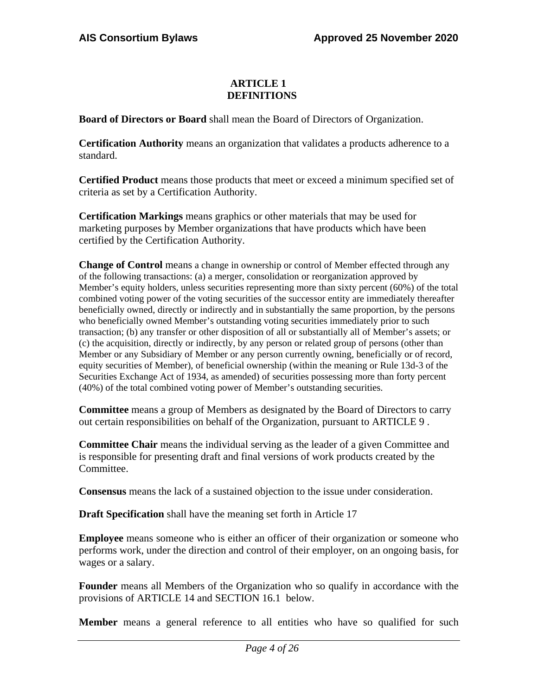# **ARTICLE 1 DEFINITIONS**

**Board of Directors or Board** shall mean the Board of Directors of Organization.

**Certification Authority** means an organization that validates a products adherence to a standard.

**Certified Product** means those products that meet or exceed a minimum specified set of criteria as set by a Certification Authority.

**Certification Markings** means graphics or other materials that may be used for marketing purposes by Member organizations that have products which have been certified by the Certification Authority.

**Change of Control** means a change in ownership or control of Member effected through any of the following transactions: (a) a merger, consolidation or reorganization approved by Member's equity holders, unless securities representing more than sixty percent (60%) of the total combined voting power of the voting securities of the successor entity are immediately thereafter beneficially owned, directly or indirectly and in substantially the same proportion, by the persons who beneficially owned Member's outstanding voting securities immediately prior to such transaction; (b) any transfer or other disposition of all or substantially all of Member's assets; or (c) the acquisition, directly or indirectly, by any person or related group of persons (other than Member or any Subsidiary of Member or any person currently owning, beneficially or of record, equity securities of Member), of beneficial ownership (within the meaning or Rule 13d-3 of the Securities Exchange Act of 1934, as amended) of securities possessing more than forty percent (40%) of the total combined voting power of Member's outstanding securities.

**Committee** means a group of Members as designated by the Board of Directors to carry out certain responsibilities on behalf of the Organization, pursuant to ARTICLE 9 .

**Committee Chair** means the individual serving as the leader of a given Committee and is responsible for presenting draft and final versions of work products created by the Committee.

**Consensus** means the lack of a sustained objection to the issue under consideration.

**Draft Specification** shall have the meaning set forth in Article 17

**Employee** means someone who is either an officer of their organization or someone who performs work, under the direction and control of their employer, on an ongoing basis, for wages or a salary.

**Founder** means all Members of the Organization who so qualify in accordance with the provisions of ARTICLE 14 and SECTION 16.1 below.

**Member** means a general reference to all entities who have so qualified for such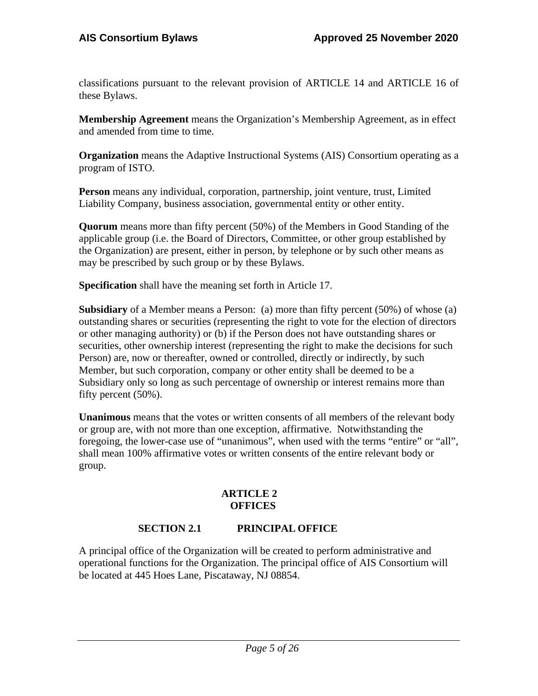classifications pursuant to the relevant provision of ARTICLE 14 and ARTICLE 16 of these Bylaws.

**Membership Agreement** means the Organization's Membership Agreement, as in effect and amended from time to time.

**Organization** means the Adaptive Instructional Systems (AIS) Consortium operating as a program of ISTO.

**Person** means any individual, corporation, partnership, joint venture, trust, Limited Liability Company, business association, governmental entity or other entity.

**Quorum** means more than fifty percent (50%) of the Members in Good Standing of the applicable group (i.e. the Board of Directors, Committee, or other group established by the Organization) are present, either in person, by telephone or by such other means as may be prescribed by such group or by these Bylaws.

**Specification** shall have the meaning set forth in Article 17.

**Subsidiary** of a Member means a Person: (a) more than fifty percent (50%) of whose (a) outstanding shares or securities (representing the right to vote for the election of directors or other managing authority) or (b) if the Person does not have outstanding shares or securities, other ownership interest (representing the right to make the decisions for such Person) are, now or thereafter, owned or controlled, directly or indirectly, by such Member, but such corporation, company or other entity shall be deemed to be a Subsidiary only so long as such percentage of ownership or interest remains more than fifty percent (50%).

**Unanimous** means that the votes or written consents of all members of the relevant body or group are, with not more than one exception, affirmative. Notwithstanding the foregoing, the lower-case use of "unanimous", when used with the terms "entire" or "all", shall mean 100% affirmative votes or written consents of the entire relevant body or group.

# **ARTICLE 2 OFFICES**

# **SECTION 2.1 PRINCIPAL OFFICE**

A principal office of the Organization will be created to perform administrative and operational functions for the Organization. The principal office of AIS Consortium will be located at 445 Hoes Lane, Piscataway, NJ 08854.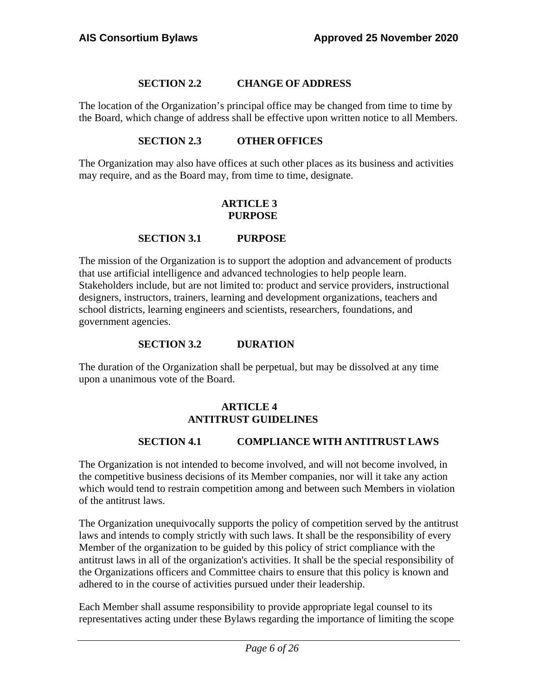# **SECTION 2.2 CHANGE OF ADDRESS**

The location of the Organization's principal office may be changed from time to time by the Board, which change of address shall be effective upon written notice to all Members.

# **SECTION 2.3 OTHER OFFICES**

The Organization may also have offices at such other places as its business and activities may require, and as the Board may, from time to time, designate.

# **ARTICLE 3 PURPOSE**

# **SECTION 3.1 PURPOSE**

The mission of the Organization is to support the adoption and advancement of products that use artificial intelligence and advanced technologies to help people learn. Stakeholders include, but are not limited to: product and service providers, instructional designers, instructors, trainers, learning and development organizations, teachers and school districts, learning engineers and scientists, researchers, foundations, and government agencies.

# **SECTION 3.2 DURATION**

<span id="page-5-0"></span>The duration of the Organization shall be perpetual, but may be dissolved at any time upon a unanimous vote of the Board.

# **ARTICLE 4 ANTITRUST GUIDELINES**

# **SECTION 4.1 COMPLIANCE WITH ANTITRUST LAWS**

The Organization is not intended to become involved, and will not become involved, in the competitive business decisions of its Member companies, nor will it take any action which would tend to restrain competition among and between such Members in violation of the antitrust laws.

The Organization unequivocally supports the policy of competition served by the antitrust laws and intends to comply strictly with such laws. It shall be the responsibility of every Member of the organization to be guided by this policy of strict compliance with the antitrust laws in all of the organization's activities. It shall be the special responsibility of the Organizations officers and Committee chairs to ensure that this policy is known and adhered to in the course of activities pursued under their leadership.

Each Member shall assume responsibility to provide appropriate legal counsel to its representatives acting under these Bylaws regarding the importance of limiting the scope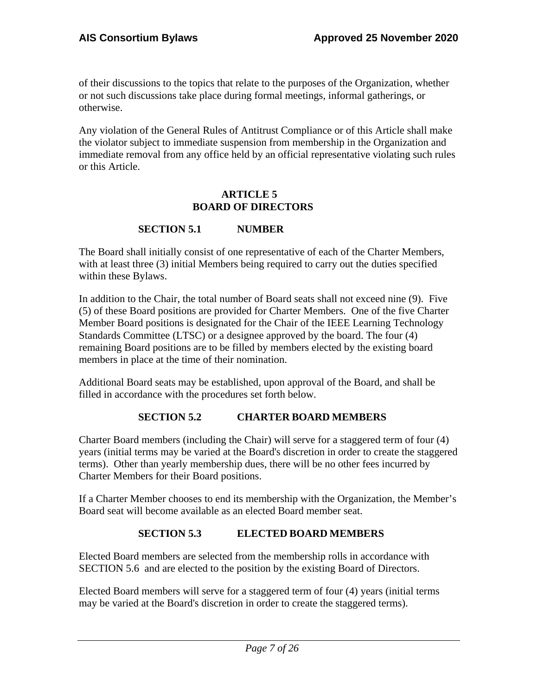of their discussions to the topics that relate to the purposes of the Organization, whether or not such discussions take place during formal meetings, informal gatherings, or otherwise.

Any violation of the General Rules of Antitrust Compliance or of this Article shall make the violator subject to immediate suspension from membership in the Organization and immediate removal from any office held by an official representative violating such rules or this Article.

#### **ARTICLE 5 BOARD OF DIRECTORS**

# **SECTION 5.1 NUMBER**

The Board shall initially consist of one representative of each of the Charter Members, with at least three (3) initial Members being required to carry out the duties specified within these Bylaws.

In addition to the Chair, the total number of Board seats shall not exceed nine (9). Five (5) of these Board positions are provided for Charter Members. One of the five Charter Member Board positions is designated for the Chair of the IEEE Learning Technology Standards Committee (LTSC) or a designee approved by the board. The four (4) remaining Board positions are to be filled by members elected by the existing board members in place at the time of their nomination.

<span id="page-6-0"></span>Additional Board seats may be established, upon approval of the Board, and shall be filled in accordance with the procedures set forth below.

# **SECTION 5.2 CHARTER BOARD MEMBERS**

Charter Board members (including the Chair) will serve for a staggered term of four (4) years (initial terms may be varied at the Board's discretion in order to create the staggered terms). Other than yearly membership dues, there will be no other fees incurred by Charter Members for their Board positions.

<span id="page-6-1"></span>If a Charter Member chooses to end its membership with the Organization, the Member's Board seat will become available as an elected Board member seat.

# **SECTION 5.3 ELECTED BOARD MEMBERS**

Elected Board members are selected from the membership rolls in accordance with SECTION 5.6 and are elected to the position by the existing Board of Directors.

Elected Board members will serve for a staggered term of four (4) years (initial terms may be varied at the Board's discretion in order to create the staggered terms).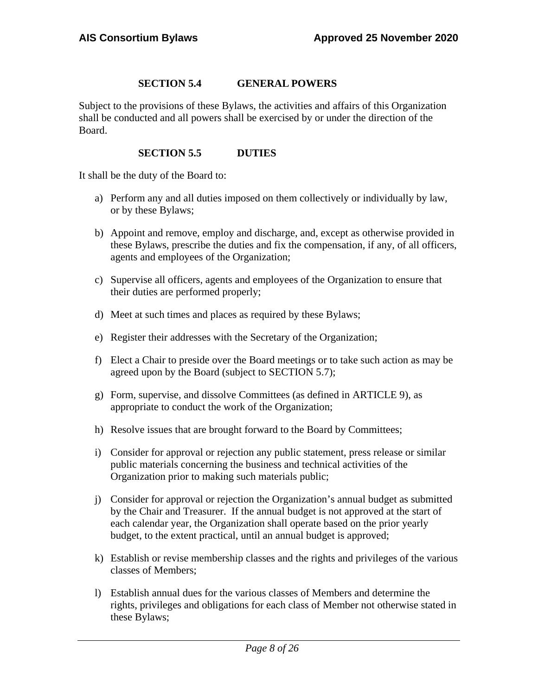#### **SECTION 5.4 GENERAL POWERS**

Subject to the provisions of these Bylaws, the activities and affairs of this Organization shall be conducted and all powers shall be exercised by or under the direction of the Board.

#### **SECTION 5.5 DUTIES**

It shall be the duty of the Board to:

- a) Perform any and all duties imposed on them collectively or individually by law, or by these Bylaws;
- b) Appoint and remove, employ and discharge, and, except as otherwise provided in these Bylaws, prescribe the duties and fix the compensation, if any, of all officers, agents and employees of the Organization;
- c) Supervise all officers, agents and employees of the Organization to ensure that their duties are performed properly;
- d) Meet at such times and places as required by these Bylaws;
- e) Register their addresses with the Secretary of the Organization;
- f) Elect a Chair to preside over the Board meetings or to take such action as may be agreed upon by the Board (subject to SECTION 5.7);
- g) Form, supervise, and dissolve Committees (as defined in ARTICLE 9), as appropriate to conduct the work of the Organization;
- h) Resolve issues that are brought forward to the Board by Committees;
- i) Consider for approval or rejection any public statement, press release or similar public materials concerning the business and technical activities of the Organization prior to making such materials public;
- j) Consider for approval or rejection the Organization's annual budget as submitted by the Chair and Treasurer. If the annual budget is not approved at the start of each calendar year, the Organization shall operate based on the prior yearly budget, to the extent practical, until an annual budget is approved;
- k) Establish or revise membership classes and the rights and privileges of the various classes of Members;
- l) Establish annual dues for the various classes of Members and determine the rights, privileges and obligations for each class of Member not otherwise stated in these Bylaws;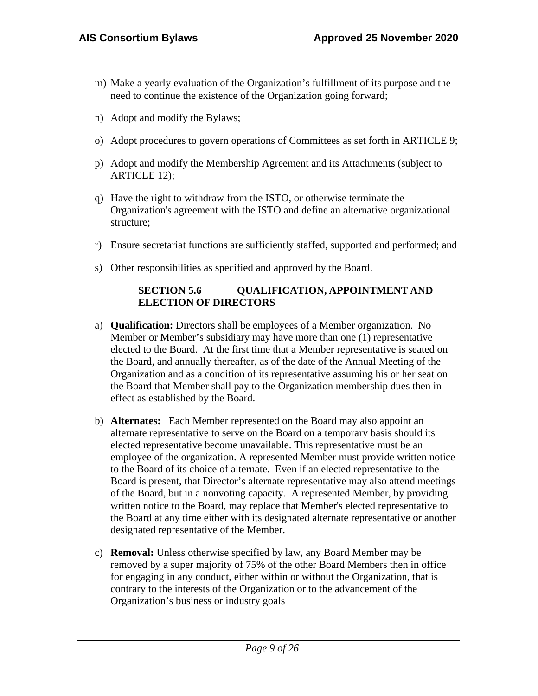- m) Make a yearly evaluation of the Organization's fulfillment of its purpose and the need to continue the existence of the Organization going forward;
- n) Adopt and modify the Bylaws;
- o) Adopt procedures to govern operations of Committees as set forth in ARTICLE 9;
- p) Adopt and modify the Membership Agreement and its Attachments (subject to ARTICLE 12);
- q) Have the right to withdraw from the ISTO, or otherwise terminate the Organization's agreement with the ISTO and define an alternative organizational structure;
- r) Ensure secretariat functions are sufficiently staffed, supported and performed; and
- s) Other responsibilities as specified and approved by the Board.

# **SECTION 5.6 QUALIFICATION, APPOINTMENT AND ELECTION OF DIRECTORS**

- a) **Qualification:** Directors shall be employees of a Member organization. No Member or Member's subsidiary may have more than one (1) representative elected to the Board. At the first time that a Member representative is seated on the Board, and annually thereafter, as of the date of the Annual Meeting of the Organization and as a condition of its representative assuming his or her seat on the Board that Member shall pay to the Organization membership dues then in effect as established by the Board.
- b) **Alternates:** Each Member represented on the Board may also appoint an alternate representative to serve on the Board on a temporary basis should its elected representative become unavailable. This representative must be an employee of the organization. A represented Member must provide written notice to the Board of its choice of alternate. Even if an elected representative to the Board is present, that Director's alternate representative may also attend meetings of the Board, but in a nonvoting capacity. A represented Member, by providing written notice to the Board, may replace that Member's elected representative to the Board at any time either with its designated alternate representative or another designated representative of the Member.
- c) **Removal:** Unless otherwise specified by law, any Board Member may be removed by a super majority of 75% of the other Board Members then in office for engaging in any conduct, either within or without the Organization, that is contrary to the interests of the Organization or to the advancement of the Organization's business or industry goals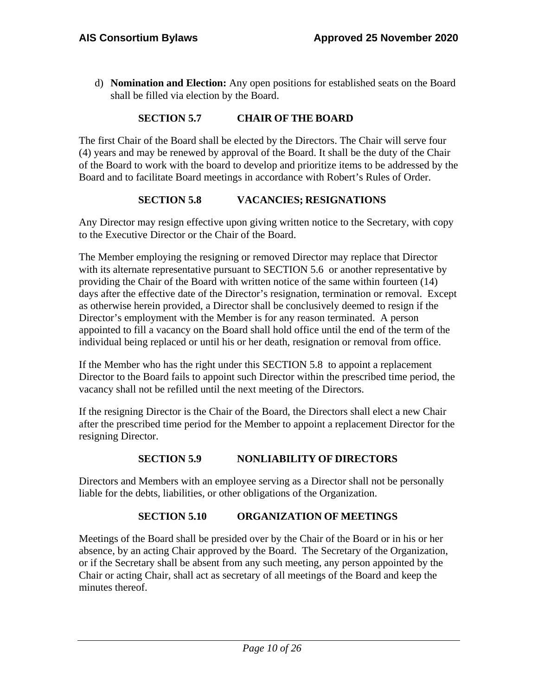d) **Nomination and Election:** Any open positions for established seats on the Board shall be filled via election by the Board.

# **SECTION 5.7 CHAIR OF THE BOARD**

The first Chair of the Board shall be elected by the Directors. The Chair will serve four (4) years and may be renewed by approval of the Board. It shall be the duty of the Chair of the Board to work with the board to develop and prioritize items to be addressed by the Board and to facilitate Board meetings in accordance with Robert's Rules of Order.

# **SECTION 5.8 VACANCIES; RESIGNATIONS**

Any Director may resign effective upon giving written notice to the Secretary, with copy to the Executive Director or the Chair of the Board.

The Member employing the resigning or removed Director may replace that Director with its alternate representative pursuant to SECTION 5.6 or another representative by providing the Chair of the Board with written notice of the same within fourteen (14) days after the effective date of the Director's resignation, termination or removal. Except as otherwise herein provided, a Director shall be conclusively deemed to resign if the Director's employment with the Member is for any reason terminated. A person appointed to fill a vacancy on the Board shall hold office until the end of the term of the individual being replaced or until his or her death, resignation or removal from office.

If the Member who has the right under this SECTION 5.8 to appoint a replacement Director to the Board fails to appoint such Director within the prescribed time period, the vacancy shall not be refilled until the next meeting of the Directors.

If the resigning Director is the Chair of the Board, the Directors shall elect a new Chair after the prescribed time period for the Member to appoint a replacement Director for the resigning Director.

# **SECTION 5.9 NONLIABILITY OF DIRECTORS**

Directors and Members with an employee serving as a Director shall not be personally liable for the debts, liabilities, or other obligations of the Organization.

# **SECTION 5.10 ORGANIZATION OF MEETINGS**

Meetings of the Board shall be presided over by the Chair of the Board or in his or her absence, by an acting Chair approved by the Board. The Secretary of the Organization, or if the Secretary shall be absent from any such meeting, any person appointed by the Chair or acting Chair, shall act as secretary of all meetings of the Board and keep the minutes thereof.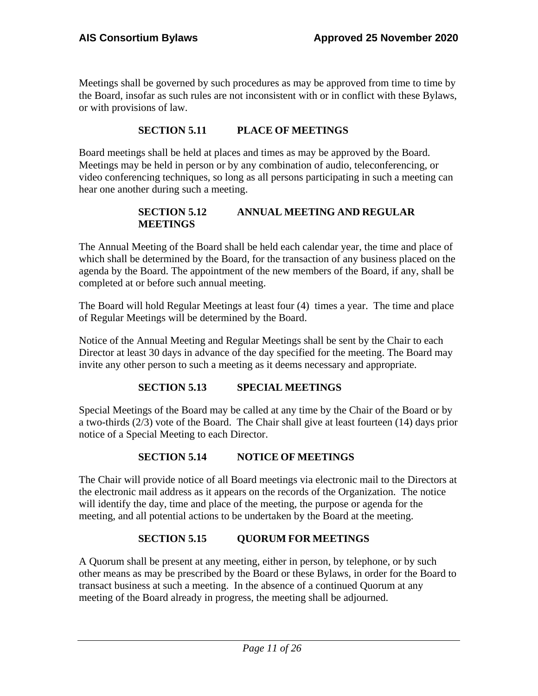Meetings shall be governed by such procedures as may be approved from time to time by the Board, insofar as such rules are not inconsistent with or in conflict with these Bylaws, or with provisions of law.

# **SECTION 5.11 PLACE OF MEETINGS**

Board meetings shall be held at places and times as may be approved by the Board. Meetings may be held in person or by any combination of audio, teleconferencing, or video conferencing techniques, so long as all persons participating in such a meeting can hear one another during such a meeting.

#### **SECTION 5.12 ANNUAL MEETING AND REGULAR MEETINGS**

The Annual Meeting of the Board shall be held each calendar year, the time and place of which shall be determined by the Board, for the transaction of any business placed on the agenda by the Board. The appointment of the new members of the Board, if any, shall be completed at or before such annual meeting.

The Board will hold Regular Meetings at least four (4) times a year. The time and place of Regular Meetings will be determined by the Board.

Notice of the Annual Meeting and Regular Meetings shall be sent by the Chair to each Director at least 30 days in advance of the day specified for the meeting. The Board may invite any other person to such a meeting as it deems necessary and appropriate.

# **SECTION 5.13 SPECIAL MEETINGS**

Special Meetings of the Board may be called at any time by the Chair of the Board or by a two-thirds (2/3) vote of the Board. The Chair shall give at least fourteen (14) days prior notice of a Special Meeting to each Director.

# **SECTION 5.14 NOTICE OF MEETINGS**

The Chair will provide notice of all Board meetings via electronic mail to the Directors at the electronic mail address as it appears on the records of the Organization. The notice will identify the day, time and place of the meeting, the purpose or agenda for the meeting, and all potential actions to be undertaken by the Board at the meeting.

# **SECTION 5.15 QUORUM FOR MEETINGS**

A Quorum shall be present at any meeting, either in person, by telephone, or by such other means as may be prescribed by the Board or these Bylaws, in order for the Board to transact business at such a meeting. In the absence of a continued Quorum at any meeting of the Board already in progress, the meeting shall be adjourned.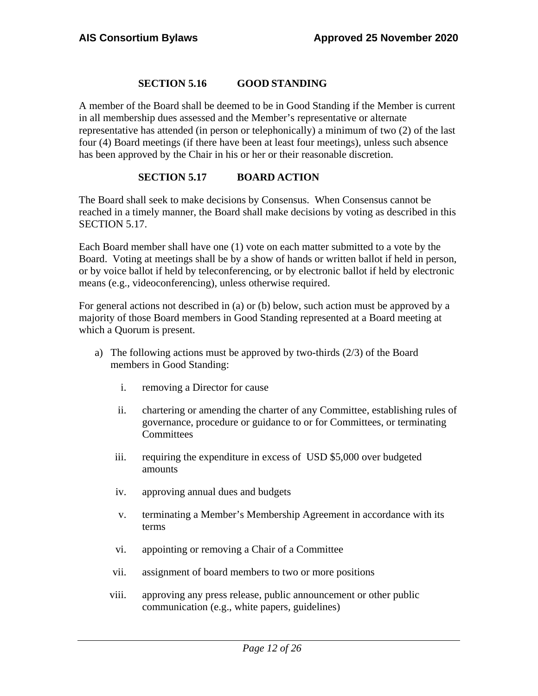# **SECTION 5.16 GOOD STANDING**

A member of the Board shall be deemed to be in Good Standing if the Member is current in all membership dues assessed and the Member's representative or alternate representative has attended (in person or telephonically) a minimum of two (2) of the last four (4) Board meetings (if there have been at least four meetings), unless such absence has been approved by the Chair in his or her or their reasonable discretion.

# **SECTION 5.17 BOARD ACTION**

The Board shall seek to make decisions by Consensus. When Consensus cannot be reached in a timely manner, the Board shall make decisions by voting as described in this SECTION 5.17.

Each Board member shall have one (1) vote on each matter submitted to a vote by the Board. Voting at meetings shall be by a show of hands or written ballot if held in person, or by voice ballot if held by teleconferencing, or by electronic ballot if held by electronic means (e.g., videoconferencing), unless otherwise required.

For general actions not described in (a) or (b) below, such action must be approved by a majority of those Board members in Good Standing represented at a Board meeting at which a Quorum is present.

- a) The following actions must be approved by two-thirds (2/3) of the Board members in Good Standing:
	- i. removing a Director for cause
	- ii. chartering or amending the charter of any Committee, establishing rules of governance, procedure or guidance to or for Committees, or terminating **Committees**
	- iii. requiring the expenditure in excess of USD \$5,000 over budgeted amounts
	- iv. approving annual dues and budgets
	- v. terminating a Member's Membership Agreement in accordance with its terms
	- vi. appointing or removing a Chair of a Committee
	- vii. assignment of board members to two or more positions
	- viii. approving any press release, public announcement or other public communication (e.g., white papers, guidelines)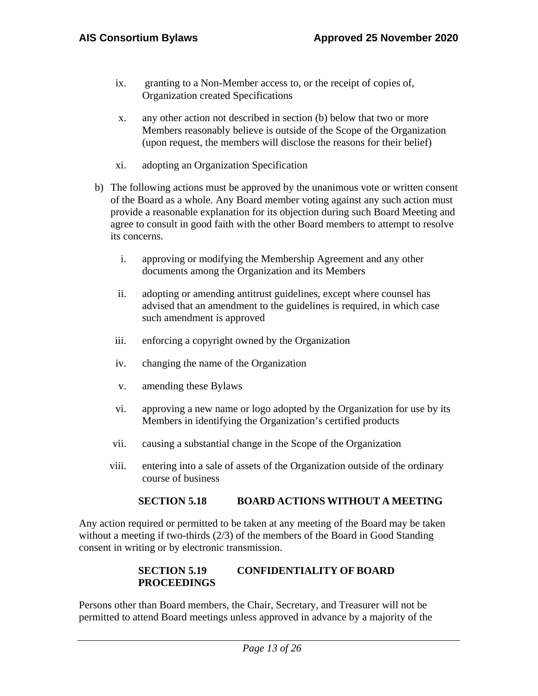- ix. granting to a Non-Member access to, or the receipt of copies of, Organization created Specifications
- x. any other action not described in section (b) below that two or more Members reasonably believe is outside of the Scope of the Organization (upon request, the members will disclose the reasons for their belief)
- xi. adopting an Organization Specification
- b) The following actions must be approved by the unanimous vote or written consent of the Board as a whole. Any Board member voting against any such action must provide a reasonable explanation for its objection during such Board Meeting and agree to consult in good faith with the other Board members to attempt to resolve its concerns.
	- i. approving or modifying the Membership Agreement and any other documents among the Organization and its Members
	- ii. adopting or amending antitrust guidelines, except where counsel has advised that an amendment to the guidelines is required, in which case such amendment is approved
	- iii. enforcing a copyright owned by the Organization
	- iv. changing the name of the Organization
	- v. amending these Bylaws
	- vi. approving a new name or logo adopted by the Organization for use by its Members in identifying the Organization's certified products
	- vii. causing a substantial change in the Scope of the Organization
	- viii. entering into a sale of assets of the Organization outside of the ordinary course of business

#### **SECTION 5.18 BOARD ACTIONS WITHOUT A MEETING**

Any action required or permitted to be taken at any meeting of the Board may be taken without a meeting if two-thirds (2/3) of the members of the Board in Good Standing consent in writing or by electronic transmission.

# **SECTION 5.19 CONFIDENTIALITY OF BOARD PROCEEDINGS**

Persons other than Board members, the Chair, Secretary, and Treasurer will not be permitted to attend Board meetings unless approved in advance by a majority of the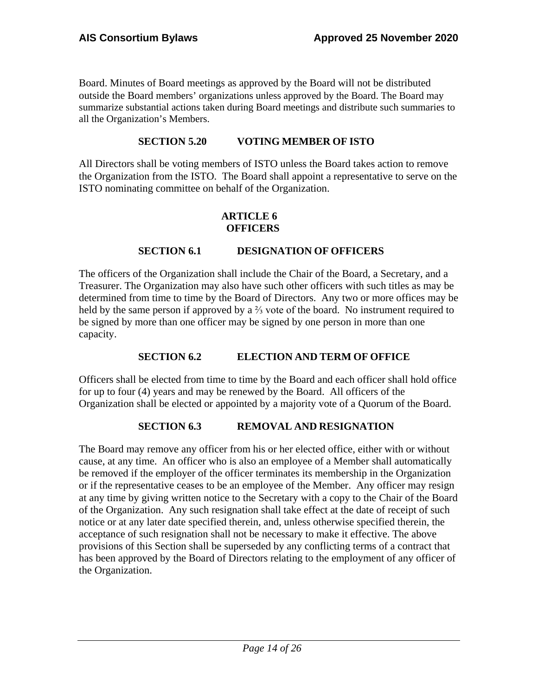Board. Minutes of Board meetings as approved by the Board will not be distributed outside the Board members' organizations unless approved by the Board. The Board may summarize substantial actions taken during Board meetings and distribute such summaries to all the Organization's Members.

# **SECTION 5.20 VOTING MEMBER OF ISTO**

All Directors shall be voting members of ISTO unless the Board takes action to remove the Organization from the ISTO. The Board shall appoint a representative to serve on the ISTO nominating committee on behalf of the Organization.

# **ARTICLE 6 OFFICERS**

# **SECTION 6.1 DESIGNATION OF OFFICERS**

The officers of the Organization shall include the Chair of the Board, a Secretary, and a Treasurer. The Organization may also have such other officers with such titles as may be determined from time to time by the Board of Directors. Any two or more offices may be held by the same person if approved by a ⅔ vote of the board. No instrument required to be signed by more than one officer may be signed by one person in more than one capacity.

# **SECTION 6.2 ELECTION AND TERM OF OFFICE**

Officers shall be elected from time to time by the Board and each officer shall hold office for up to four (4) years and may be renewed by the Board. All officers of the Organization shall be elected or appointed by a majority vote of a Quorum of the Board.

# **SECTION 6.3 REMOVAL AND RESIGNATION**

The Board may remove any officer from his or her elected office, either with or without cause, at any time. An officer who is also an employee of a Member shall automatically be removed if the employer of the officer terminates its membership in the Organization or if the representative ceases to be an employee of the Member. Any officer may resign at any time by giving written notice to the Secretary with a copy to the Chair of the Board of the Organization. Any such resignation shall take effect at the date of receipt of such notice or at any later date specified therein, and, unless otherwise specified therein, the acceptance of such resignation shall not be necessary to make it effective. The above provisions of this Section shall be superseded by any conflicting terms of a contract that has been approved by the Board of Directors relating to the employment of any officer of the Organization.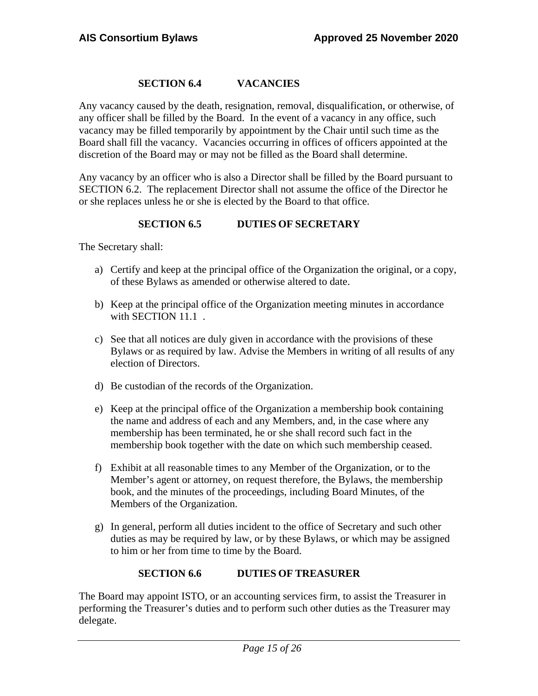# **SECTION 6.4 VACANCIES**

Any vacancy caused by the death, resignation, removal, disqualification, or otherwise, of any officer shall be filled by the Board. In the event of a vacancy in any office, such vacancy may be filled temporarily by appointment by the Chair until such time as the Board shall fill the vacancy. Vacancies occurring in offices of officers appointed at the discretion of the Board may or may not be filled as the Board shall determine.

Any vacancy by an officer who is also a Director shall be filled by the Board pursuant to SECTION 6.2. The replacement Director shall not assume the office of the Director he or she replaces unless he or she is elected by the Board to that office.

# **SECTION 6.5 DUTIES OF SECRETARY**

The Secretary shall:

- a) Certify and keep at the principal office of the Organization the original, or a copy, of these Bylaws as amended or otherwise altered to date.
- b) Keep at the principal office of the Organization meeting minutes in accordance with SECTION 11.1.
- c) See that all notices are duly given in accordance with the provisions of these Bylaws or as required by law. Advise the Members in writing of all results of any election of Directors.
- d) Be custodian of the records of the Organization.
- e) Keep at the principal office of the Organization a membership book containing the name and address of each and any Members, and, in the case where any membership has been terminated, he or she shall record such fact in the membership book together with the date on which such membership ceased.
- f) Exhibit at all reasonable times to any Member of the Organization, or to the Member's agent or attorney, on request therefore, the Bylaws, the membership book, and the minutes of the proceedings, including Board Minutes, of the Members of the Organization.
- g) In general, perform all duties incident to the office of Secretary and such other duties as may be required by law, or by these Bylaws, or which may be assigned to him or her from time to time by the Board.

# **SECTION 6.6 DUTIES OF TREASURER**

The Board may appoint ISTO, or an accounting services firm, to assist the Treasurer in performing the Treasurer's duties and to perform such other duties as the Treasurer may delegate.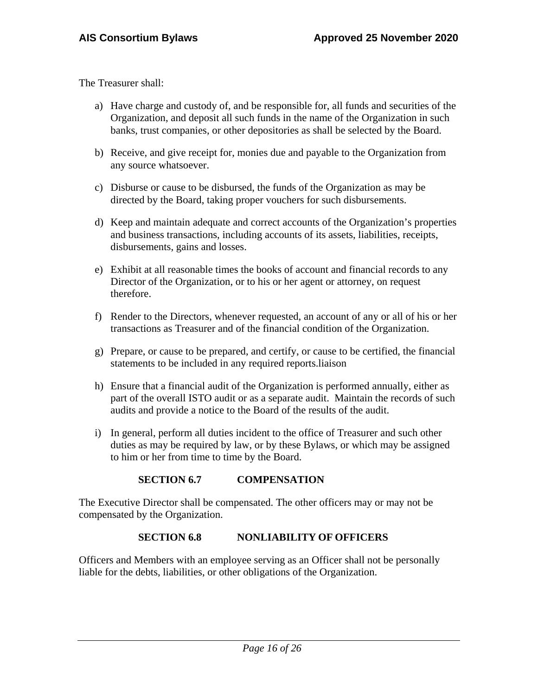The Treasurer shall:

- a) Have charge and custody of, and be responsible for, all funds and securities of the Organization, and deposit all such funds in the name of the Organization in such banks, trust companies, or other depositories as shall be selected by the Board.
- b) Receive, and give receipt for, monies due and payable to the Organization from any source whatsoever.
- c) Disburse or cause to be disbursed, the funds of the Organization as may be directed by the Board, taking proper vouchers for such disbursements.
- d) Keep and maintain adequate and correct accounts of the Organization's properties and business transactions, including accounts of its assets, liabilities, receipts, disbursements, gains and losses.
- e) Exhibit at all reasonable times the books of account and financial records to any Director of the Organization, or to his or her agent or attorney, on request therefore.
- f) Render to the Directors, whenever requested, an account of any or all of his or her transactions as Treasurer and of the financial condition of the Organization.
- g) Prepare, or cause to be prepared, and certify, or cause to be certified, the financial statements to be included in any required reports.liaison
- h) Ensure that a financial audit of the Organization is performed annually, either as part of the overall ISTO audit or as a separate audit. Maintain the records of such audits and provide a notice to the Board of the results of the audit.
- i) In general, perform all duties incident to the office of Treasurer and such other duties as may be required by law, or by these Bylaws, or which may be assigned to him or her from time to time by the Board.

# **SECTION 6.7 COMPENSATION**

<span id="page-15-0"></span>The Executive Director shall be compensated. The other officers may or may not be compensated by the Organization.

# **SECTION 6.8 NONLIABILITY OF OFFICERS**

Officers and Members with an employee serving as an Officer shall not be personally liable for the debts, liabilities, or other obligations of the Organization.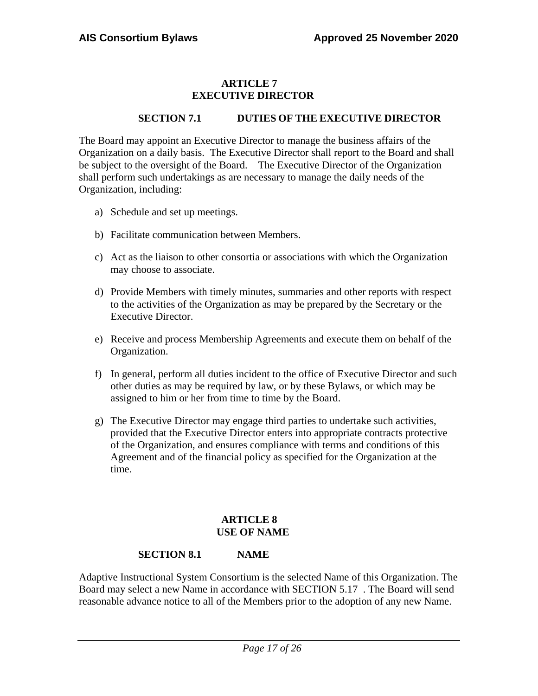# **ARTICLE 7 EXECUTIVE DIRECTOR**

# **SECTION 7.1 DUTIES OF THE EXECUTIVE DIRECTOR**

<span id="page-16-1"></span><span id="page-16-0"></span>The Board may appoint an Executive Director to manage the business affairs of the Organization on a daily basis. The Executive Director shall report to the Board and shall be subject to the oversight of the Board. The Executive Director of the Organization shall perform such undertakings as are necessary to manage the daily needs of the Organization, including:

- a) Schedule and set up meetings.
- b) Facilitate communication between Members.
- c) Act as the liaison to other consortia or associations with which the Organization may choose to associate.
- d) Provide Members with timely minutes, summaries and other reports with respect to the activities of the Organization as may be prepared by the Secretary or the Executive Director.
- e) Receive and process Membership Agreements and execute them on behalf of the Organization.
- f) In general, perform all duties incident to the office of Executive Director and such other duties as may be required by law, or by these Bylaws, or which may be assigned to him or her from time to time by the Board.
- g) The Executive Director may engage third parties to undertake such activities, provided that the Executive Director enters into appropriate contracts protective of the Organization, and ensures compliance with terms and conditions of this Agreement and of the financial policy as specified for the Organization at the time.

# **ARTICLE 8 USE OF NAME**

# **SECTION 8.1 NAME**

<span id="page-16-4"></span><span id="page-16-3"></span><span id="page-16-2"></span>Adaptive Instructional System Consortium is the selected Name of this Organization. The Board may select a new Name in accordance with SECTION 5.17 . The Board will send reasonable advance notice to all of the Members prior to the adoption of any new Name.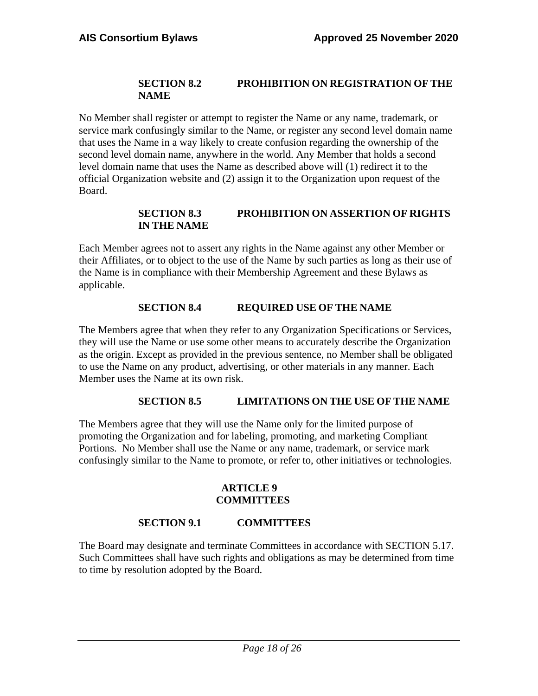# **SECTION 8.2 PROHIBITION ON REGISTRATION OF THE NAME**

<span id="page-17-0"></span>No Member shall register or attempt to register the Name or any name, trademark, or service mark confusingly similar to the Name, or register any second level domain name that uses the Name in a way likely to create confusion regarding the ownership of the second level domain name, anywhere in the world. Any Member that holds a second level domain name that uses the Name as described above will (1) redirect it to the official Organization website and (2) assign it to the Organization upon request of the Board.

# **SECTION 8.3 PROHIBITION ON ASSERTION OF RIGHTS IN THE NAME**

<span id="page-17-1"></span>Each Member agrees not to assert any rights in the Name against any other Member or their Affiliates, or to object to the use of the Name by such parties as long as their use of the Name is in compliance with their Membership Agreement and these Bylaws as applicable.

# **SECTION 8.4 REQUIRED USE OF THE NAME**

<span id="page-17-2"></span>The Members agree that when they refer to any Organization Specifications or Services, they will use the Name or use some other means to accurately describe the Organization as the origin. Except as provided in the previous sentence, no Member shall be obligated to use the Name on any product, advertising, or other materials in any manner. Each Member uses the Name at its own risk.

# **SECTION 8.5 LIMITATIONS ON THE USE OF THE NAME**

The Members agree that they will use the Name only for the limited purpose of promoting the Organization and for labeling, promoting, and marketing Compliant Portions. No Member shall use the Name or any name, trademark, or service mark confusingly similar to the Name to promote, or refer to, other initiatives or technologies.

# **ARTICLE 9 COMMITTEES**

# **SECTION 9.1 COMMITTEES**

<span id="page-17-3"></span>The Board may designate and terminate Committees in accordance with SECTION 5.17. Such Committees shall have such rights and obligations as may be determined from time to time by resolution adopted by the Board.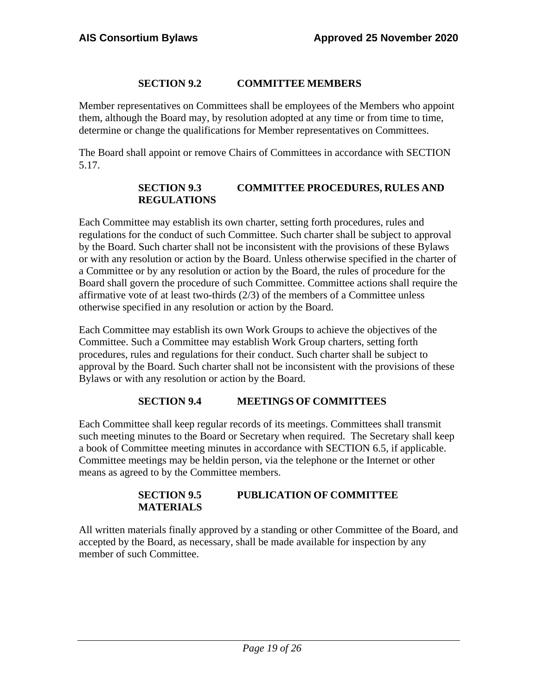# **SECTION 9.2 COMMITTEE MEMBERS**

Member representatives on Committees shall be employees of the Members who appoint them, although the Board may, by resolution adopted at any time or from time to time, determine or change the qualifications for Member representatives on Committees.

<span id="page-18-0"></span>The Board shall appoint or remove Chairs of Committees in accordance with SECTION 5.17.

# **SECTION 9.3 COMMITTEE PROCEDURES, RULES AND REGULATIONS**

Each Committee may establish its own charter, setting forth procedures, rules and regulations for the conduct of such Committee. Such charter shall be subject to approval by the Board. Such charter shall not be inconsistent with the provisions of these Bylaws or with any resolution or action by the Board. Unless otherwise specified in the charter of a Committee or by any resolution or action by the Board, the rules of procedure for the Board shall govern the procedure of such Committee. Committee actions shall require the affirmative vote of at least two-thirds  $(2/3)$  of the members of a Committee unless otherwise specified in any resolution or action by the Board.

<span id="page-18-1"></span>Each Committee may establish its own Work Groups to achieve the objectives of the Committee. Such a Committee may establish Work Group charters, setting forth procedures, rules and regulations for their conduct. Such charter shall be subject to approval by the Board. Such charter shall not be inconsistent with the provisions of these Bylaws or with any resolution or action by the Board.

# **SECTION 9.4 MEETINGS OF COMMITTEES**

<span id="page-18-2"></span>Each Committee shall keep regular records of its meetings. Committees shall transmit such meeting minutes to the Board or Secretary when required. The Secretary shall keep a book of Committee meeting minutes in accordance with SECTION 6.5, if applicable. Committee meetings may be heldin person, via the telephone or the Internet or other means as agreed to by the Committee members.

# **SECTION 9.5 PUBLICATION OF COMMITTEE MATERIALS**

All written materials finally approved by a standing or other Committee of the Board, and accepted by the Board, as necessary, shall be made available for inspection by any member of such Committee.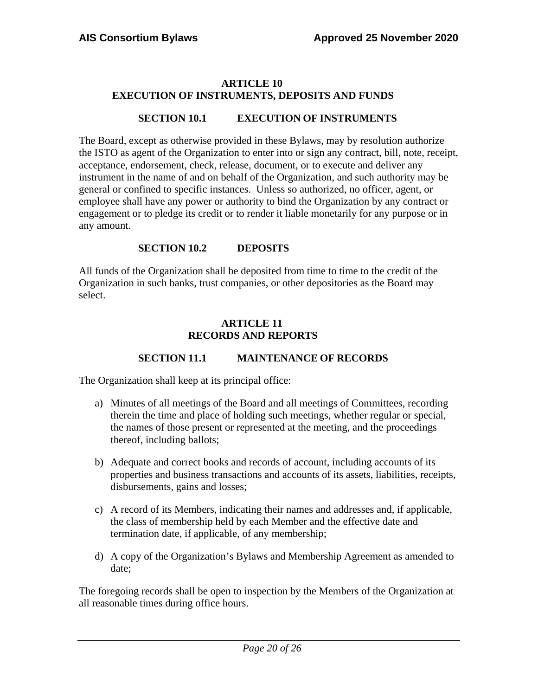#### <span id="page-19-0"></span>**ARTICLE 10 EXECUTION OF INSTRUMENTS, DEPOSITS AND FUNDS**

#### **SECTION 10.1 EXECUTION OF INSTRUMENTS**

The Board, except as otherwise provided in these Bylaws, may by resolution authorize the ISTO as agent of the Organization to enter into or sign any contract, bill, note, receipt, acceptance, endorsement, check, release, document, or to execute and deliver any instrument in the name of and on behalf of the Organization, and such authority may be general or confined to specific instances. Unless so authorized, no officer, agent, or employee shall have any power or authority to bind the Organization by any contract or engagement or to pledge its credit or to render it liable monetarily for any purpose or in any amount.

#### **SECTION 10.2 DEPOSITS**

<span id="page-19-1"></span>All funds of the Organization shall be deposited from time to time to the credit of the Organization in such banks, trust companies, or other depositories as the Board may select.

#### **ARTICLE 11 RECORDS AND REPORTS**

# **SECTION 11.1 MAINTENANCE OF RECORDS**

The Organization shall keep at its principal office:

- a) Minutes of all meetings of the Board and all meetings of Committees, recording therein the time and place of holding such meetings, whether regular or special, the names of those present or represented at the meeting, and the proceedings thereof, including ballots;
- b) Adequate and correct books and records of account, including accounts of its properties and business transactions and accounts of its assets, liabilities, receipts, disbursements, gains and losses;
- c) A record of its Members, indicating their names and addresses and, if applicable, the class of membership held by each Member and the effective date and termination date, if applicable, of any membership;
- d) A copy of the Organization's Bylaws and Membership Agreement as amended to date;

The foregoing records shall be open to inspection by the Members of the Organization at all reasonable times during office hours.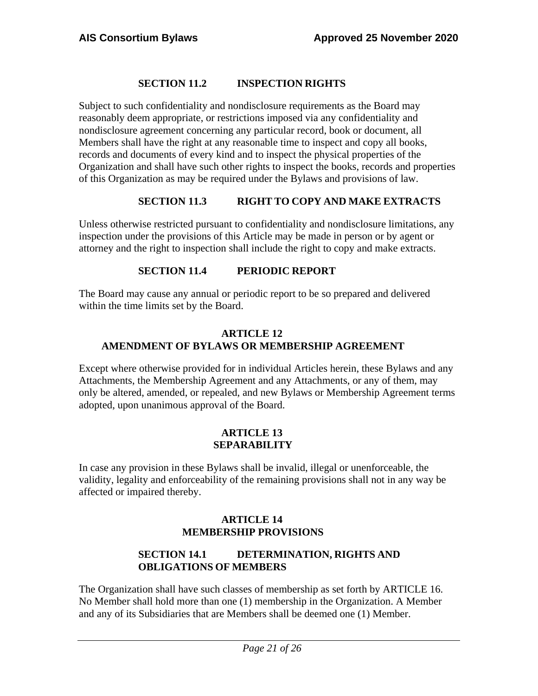# **SECTION 11.2 INSPECTION RIGHTS**

Subject to such confidentiality and nondisclosure requirements as the Board may reasonably deem appropriate, or restrictions imposed via any confidentiality and nondisclosure agreement concerning any particular record, book or document, all Members shall have the right at any reasonable time to inspect and copy all books, records and documents of every kind and to inspect the physical properties of the Organization and shall have such other rights to inspect the books, records and properties of this Organization as may be required under the Bylaws and provisions of law.

# **SECTION 11.3 RIGHT TO COPY AND MAKE EXTRACTS**

Unless otherwise restricted pursuant to confidentiality and nondisclosure limitations, any inspection under the provisions of this Article may be made in person or by agent or attorney and the right to inspection shall include the right to copy and make extracts.

# **SECTION 11.4 PERIODIC REPORT**

The Board may cause any annual or periodic report to be so prepared and delivered within the time limits set by the Board.

# **ARTICLE 12 AMENDMENT OF BYLAWS OR MEMBERSHIP AGREEMENT**

Except where otherwise provided for in individual Articles herein, these Bylaws and any Attachments, the Membership Agreement and any Attachments, or any of them, may only be altered, amended, or repealed, and new Bylaws or Membership Agreement terms adopted, upon unanimous approval of the Board.

# **ARTICLE 13 SEPARABILITY**

<span id="page-20-0"></span>In case any provision in these Bylaws shall be invalid, illegal or unenforceable, the validity, legality and enforceability of the remaining provisions shall not in any way be affected or impaired thereby.

# **ARTICLE 14 MEMBERSHIP PROVISIONS**

# **SECTION 14.1 DETERMINATION, RIGHTS AND OBLIGATIONS OF MEMBERS**

The Organization shall have such classes of membership as set forth by ARTICLE 16. No Member shall hold more than one (1) membership in the Organization. A Member and any of its Subsidiaries that are Members shall be deemed one (1) Member.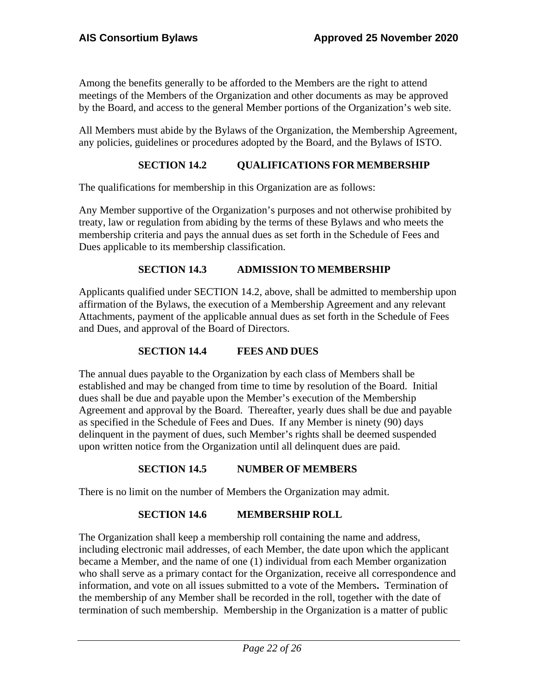Among the benefits generally to be afforded to the Members are the right to attend meetings of the Members of the Organization and other documents as may be approved by the Board, and access to the general Member portions of the Organization's web site.

All Members must abide by the Bylaws of the Organization, the Membership Agreement, any policies, guidelines or procedures adopted by the Board, and the Bylaws of ISTO.

# **SECTION 14.2 QUALIFICATIONS FOR MEMBERSHIP**

The qualifications for membership in this Organization are as follows:

Any Member supportive of the Organization's purposes and not otherwise prohibited by treaty, law or regulation from abiding by the terms of these Bylaws and who meets the membership criteria and pays the annual dues as set forth in the Schedule of Fees and Dues applicable to its membership classification.

# **SECTION 14.3 ADMISSION TO MEMBERSHIP**

Applicants qualified under SECTION 14.2, above, shall be admitted to membership upon affirmation of the Bylaws, the execution of a Membership Agreement and any relevant Attachments, payment of the applicable annual dues as set forth in the Schedule of Fees and Dues, and approval of the Board of Directors.

# **SECTION 14.4 FEES AND DUES**

The annual dues payable to the Organization by each class of Members shall be established and may be changed from time to time by resolution of the Board. Initial dues shall be due and payable upon the Member's execution of the Membership Agreement and approval by the Board. Thereafter, yearly dues shall be due and payable as specified in the Schedule of Fees and Dues. If any Member is ninety (90) days delinquent in the payment of dues, such Member's rights shall be deemed suspended upon written notice from the Organization until all delinquent dues are paid.

# **SECTION 14.5 NUMBER OF MEMBERS**

There is no limit on the number of Members the Organization may admit.

# **SECTION 14.6 MEMBERSHIP ROLL**

The Organization shall keep a membership roll containing the name and address, including electronic mail addresses, of each Member, the date upon which the applicant became a Member, and the name of one (1) individual from each Member organization who shall serve as a primary contact for the Organization, receive all correspondence and information, and vote on all issues submitted to a vote of the Members**.** Termination of the membership of any Member shall be recorded in the roll, together with the date of termination of such membership. Membership in the Organization is a matter of public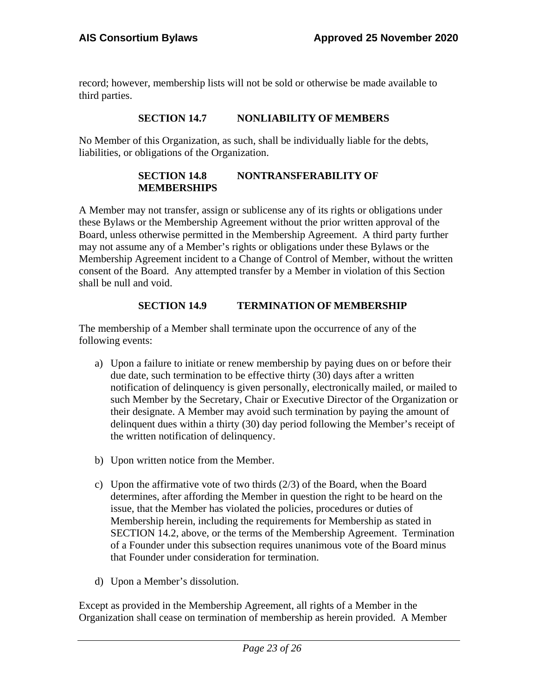record; however, membership lists will not be sold or otherwise be made available to third parties.

# **SECTION 14.7 NONLIABILITY OF MEMBERS**

No Member of this Organization, as such, shall be individually liable for the debts, liabilities, or obligations of the Organization.

#### **SECTION 14.8 NONTRANSFERABILITY OF MEMBERSHIPS**

A Member may not transfer, assign or sublicense any of its rights or obligations under these Bylaws or the Membership Agreement without the prior written approval of the Board, unless otherwise permitted in the Membership Agreement. A third party further may not assume any of a Member's rights or obligations under these Bylaws or the Membership Agreement incident to a Change of Control of Member, without the written consent of the Board. Any attempted transfer by a Member in violation of this Section shall be null and void.

# **SECTION 14.9 TERMINATION OF MEMBERSHIP**

The membership of a Member shall terminate upon the occurrence of any of the following events:

- a) Upon a failure to initiate or renew membership by paying dues on or before their due date, such termination to be effective thirty (30) days after a written notification of delinquency is given personally, electronically mailed, or mailed to such Member by the Secretary, Chair or Executive Director of the Organization or their designate. A Member may avoid such termination by paying the amount of delinquent dues within a thirty (30) day period following the Member's receipt of the written notification of delinquency.
- b) Upon written notice from the Member.
- c) Upon the affirmative vote of two thirds (2/3) of the Board, when the Board determines, after affording the Member in question the right to be heard on the issue, that the Member has violated the policies, procedures or duties of Membership herein, including the requirements for Membership as stated in SECTION 14.2, above, or the terms of the Membership Agreement. Termination of a Founder under this subsection requires unanimous vote of the Board minus that Founder under consideration for termination.
- d) Upon a Member's dissolution.

Except as provided in the Membership Agreement, all rights of a Member in the Organization shall cease on termination of membership as herein provided. A Member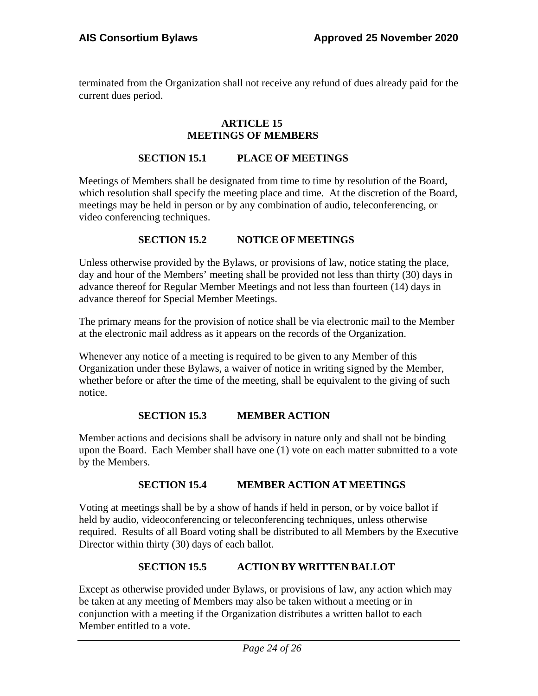<span id="page-23-0"></span>terminated from the Organization shall not receive any refund of dues already paid for the current dues period.

#### **ARTICLE 15 MEETINGS OF MEMBERS**

#### **SECTION 15.1 PLACE OF MEETINGS**

Meetings of Members shall be designated from time to time by resolution of the Board, which resolution shall specify the meeting place and time. At the discretion of the Board, meetings may be held in person or by any combination of audio, teleconferencing, or video conferencing techniques.

# **SECTION 15.2 NOTICE OF MEETINGS**

Unless otherwise provided by the Bylaws, or provisions of law, notice stating the place, day and hour of the Members' meeting shall be provided not less than thirty (30) days in advance thereof for Regular Member Meetings and not less than fourteen (14) days in advance thereof for Special Member Meetings.

The primary means for the provision of notice shall be via electronic mail to the Member at the electronic mail address as it appears on the records of the Organization.

Whenever any notice of a meeting is required to be given to any Member of this Organization under these Bylaws, a waiver of notice in writing signed by the Member, whether before or after the time of the meeting, shall be equivalent to the giving of such notice.

# **SECTION 15.3 MEMBER ACTION**

Member actions and decisions shall be advisory in nature only and shall not be binding upon the Board. Each Member shall have one (1) vote on each matter submitted to a vote by the Members.

# **SECTION 15.4 MEMBER ACTION AT MEETINGS**

Voting at meetings shall be by a show of hands if held in person, or by voice ballot if held by audio, videoconferencing or teleconferencing techniques, unless otherwise required. Results of all Board voting shall be distributed to all Members by the Executive Director within thirty (30) days of each ballot.

# **SECTION 15.5 ACTION BY WRITTEN BALLOT**

Except as otherwise provided under Bylaws, or provisions of law, any action which may be taken at any meeting of Members may also be taken without a meeting or in conjunction with a meeting if the Organization distributes a written ballot to each Member entitled to a vote.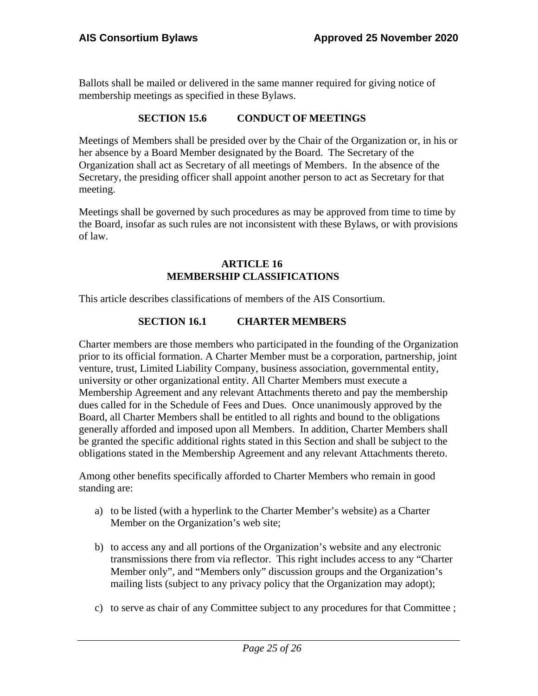Ballots shall be mailed or delivered in the same manner required for giving notice of membership meetings as specified in these Bylaws.

#### **SECTION 15.6 CONDUCT OF MEETINGS**

Meetings of Members shall be presided over by the Chair of the Organization or, in his or her absence by a Board Member designated by the Board. The Secretary of the Organization shall act as Secretary of all meetings of Members. In the absence of the Secretary, the presiding officer shall appoint another person to act as Secretary for that meeting.

Meetings shall be governed by such procedures as may be approved from time to time by the Board, insofar as such rules are not inconsistent with these Bylaws, or with provisions of law.

#### **ARTICLE 16 MEMBERSHIP CLASSIFICATIONS**

This article describes classifications of members of the AIS Consortium.

# **SECTION 16.1 CHARTER MEMBERS**

Charter members are those members who participated in the founding of the Organization prior to its official formation. A Charter Member must be a corporation, partnership, joint venture, trust, Limited Liability Company, business association, governmental entity, university or other organizational entity. All Charter Members must execute a Membership Agreement and any relevant Attachments thereto and pay the membership dues called for in the Schedule of Fees and Dues. Once unanimously approved by the Board, all Charter Members shall be entitled to all rights and bound to the obligations generally afforded and imposed upon all Members. In addition, Charter Members shall be granted the specific additional rights stated in this Section and shall be subject to the obligations stated in the Membership Agreement and any relevant Attachments thereto.

Among other benefits specifically afforded to Charter Members who remain in good standing are:

- a) to be listed (with a hyperlink to the Charter Member's website) as a Charter Member on the Organization's web site;
- b) to access any and all portions of the Organization's website and any electronic transmissions there from via reflector. This right includes access to any "Charter Member only", and "Members only" discussion groups and the Organization's mailing lists (subject to any privacy policy that the Organization may adopt);
- c) to serve as chair of any Committee subject to any procedures for that Committee ;